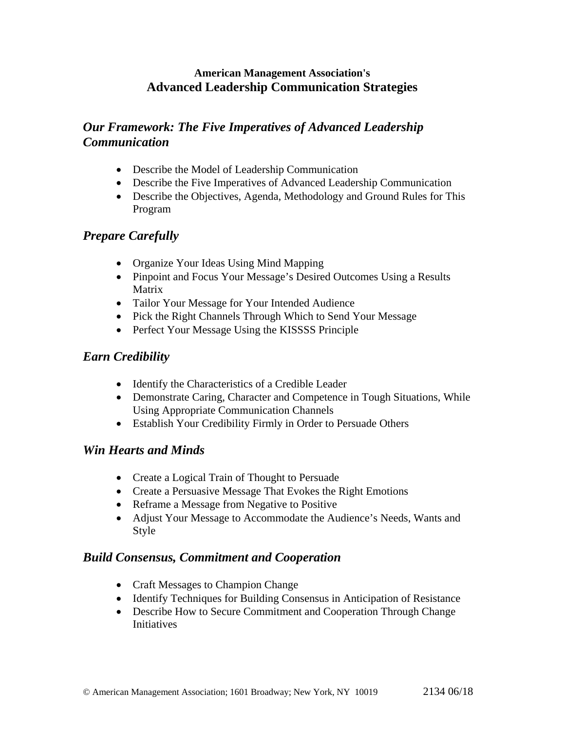#### **American Management Association's Advanced Leadership Communication Strategies**

## *Our Framework: The Five Imperatives of Advanced Leadership Communication*

- Describe the Model of Leadership Communication
- Describe the Five Imperatives of Advanced Leadership Communication
- Describe the Objectives, Agenda, Methodology and Ground Rules for This Program

## *Prepare Carefully*

- Organize Your Ideas Using Mind Mapping
- Pinpoint and Focus Your Message's Desired Outcomes Using a Results Matrix
- Tailor Your Message for Your Intended Audience
- Pick the Right Channels Through Which to Send Your Message
- Perfect Your Message Using the KISSSS Principle

#### *Earn Credibility*

- Identify the Characteristics of a Credible Leader
- Demonstrate Caring, Character and Competence in Tough Situations, While Using Appropriate Communication Channels
- Establish Your Credibility Firmly in Order to Persuade Others

#### *Win Hearts and Minds*

- Create a Logical Train of Thought to Persuade
- Create a Persuasive Message That Evokes the Right Emotions
- Reframe a Message from Negative to Positive
- Adjust Your Message to Accommodate the Audience's Needs, Wants and Style

### *Build Consensus, Commitment and Cooperation*

- Craft Messages to Champion Change
- Identify Techniques for Building Consensus in Anticipation of Resistance
- Describe How to Secure Commitment and Cooperation Through Change **Initiatives**